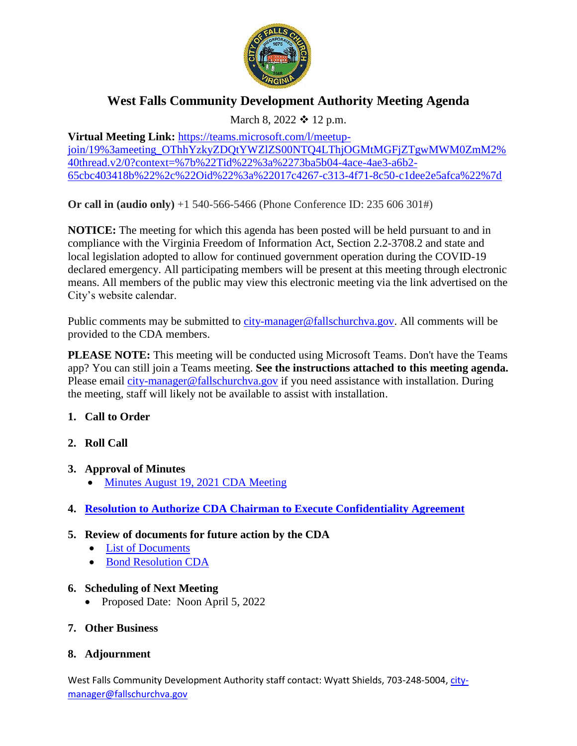

# **West Falls Community Development Authority Meeting Agenda**

March 8, 2022  $\div$  12 p.m.

**Virtual Meeting Link:** [https://teams.microsoft.com/l/meetup](https://teams.microsoft.com/l/meetup-join/19%3ameeting_OThhYzkyZDQtYWZlZS00NTQ4LThjOGMtMGFjZTgwMWM0ZmM2%40thread.v2/0?context=%7b%22Tid%22%3a%2273ba5b04-4ace-4ae3-a6b2-65cbc403418b%22%2c%22Oid%22%3a%22017c4267-c313-4f71-8c50-c1dee2e5afca%22%7d)[join/19%3ameeting\\_OThhYzkyZDQtYWZlZS00NTQ4LThjOGMtMGFjZTgwMWM0ZmM2%](https://teams.microsoft.com/l/meetup-join/19%3ameeting_OThhYzkyZDQtYWZlZS00NTQ4LThjOGMtMGFjZTgwMWM0ZmM2%40thread.v2/0?context=%7b%22Tid%22%3a%2273ba5b04-4ace-4ae3-a6b2-65cbc403418b%22%2c%22Oid%22%3a%22017c4267-c313-4f71-8c50-c1dee2e5afca%22%7d) [40thread.v2/0?context=%7b%22Tid%22%3a%2273ba5b04-4ace-4ae3-a6b2-](https://teams.microsoft.com/l/meetup-join/19%3ameeting_OThhYzkyZDQtYWZlZS00NTQ4LThjOGMtMGFjZTgwMWM0ZmM2%40thread.v2/0?context=%7b%22Tid%22%3a%2273ba5b04-4ace-4ae3-a6b2-65cbc403418b%22%2c%22Oid%22%3a%22017c4267-c313-4f71-8c50-c1dee2e5afca%22%7d) [65cbc403418b%22%2c%22Oid%22%3a%22017c4267-c313-4f71-8c50-c1dee2e5afca%22%7d](https://teams.microsoft.com/l/meetup-join/19%3ameeting_OThhYzkyZDQtYWZlZS00NTQ4LThjOGMtMGFjZTgwMWM0ZmM2%40thread.v2/0?context=%7b%22Tid%22%3a%2273ba5b04-4ace-4ae3-a6b2-65cbc403418b%22%2c%22Oid%22%3a%22017c4267-c313-4f71-8c50-c1dee2e5afca%22%7d)

**Or call in (audio only)** +1 540-566-5466 (Phone Conference ID: 235 606 301#)

**NOTICE:** The meeting for which this agenda has been posted will be held pursuant to and in compliance with the Virginia Freedom of Information Act, Section 2.2-3708.2 and state and local legislation adopted to allow for continued government operation during the COVID-19 declared emergency. All participating members will be present at this meeting through electronic means. All members of the public may view this electronic meeting via the link advertised on the City's website calendar.

Public comments may be submitted to [city-manager@fallschurchva.gov.](mailto:city-manager@fallschurchva.gov) All comments will be provided to the CDA members.

**PLEASE NOTE:** This meeting will be conducted using Microsoft Teams. Don't have the Teams app? You can still join a Teams meeting. **See the instructions attached to this meeting agenda.**  Please email [city-manager@fallschurchva.gov](mailto:city-manager@fallschurchva.gov) if you need assistance with installation. During the meeting, staff will likely not be available to assist with installation.

## **1. Call to Order**

- **2. Roll Call**
- **3. Approval of Minutes** 
	- [Minutes August 19, 2021 CDA](https://www.fallschurchva.gov/DocumentCenter/View/15856/00-08-19-21-WFCDA-Minutes-draft) Meeting
- **4. Resolution to Authorize CDA [Chairman to Execute Confidentiality Agreement](https://www.fallschurchva.gov/DocumentCenter/View/15857/confidentiality-resolution)**
- **5. Review of documents for future action by the CDA**
	- [List of Documents](https://www.fallschurchva.gov/DocumentCenter/View/15854/Document-List)
	- [Bond Resolution CDA](https://www.fallschurchva.gov/DocumentCenter/View/15855/West-Falls-CDA-CDA-Bond-Resolution)

## **6. Scheduling of Next Meeting**

• Proposed Date: Noon April 5, 2022

## **7. Other Business**

## **8. Adjournment**

West Falls Community Development Authority staff contact: Wyatt Shields, 703-248-5004, [city](mailto:city-manager@fallschurchva.gov)[manager@fallschurchva.gov](mailto:city-manager@fallschurchva.gov)